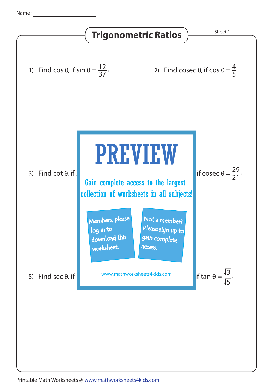